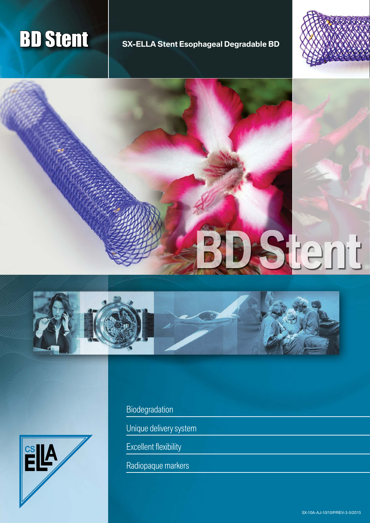## **BD Stent** SX-ELLA Stent Esophageal Degradable BD









Biodegradation

Unique delivery system

Excellent flexibility

Radiopaque markers